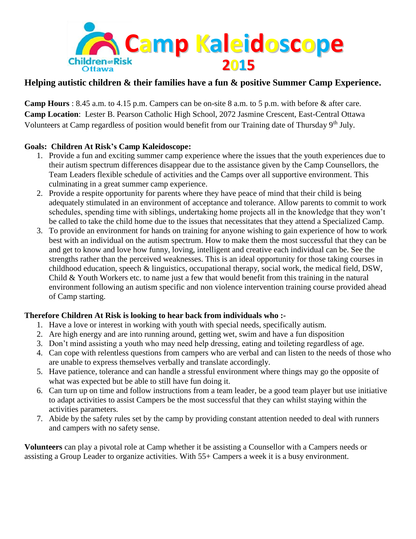

## **Helping autistic children & their families have a fun & positive Summer Camp Experience.**

**Camp Hours** : 8.45 a.m. to 4.15 p.m. Campers can be on-site 8 a.m. to 5 p.m. with before & after care. **Camp Location**: Lester B. Pearson Catholic High School, 2072 Jasmine Crescent, East-Central Ottawa Volunteers at Camp regardless of position would benefit from our Training date of Thursday 9<sup>th</sup> July.

## **Goals: Children At Risk's Camp Kaleidoscope:**

- 1. Provide a fun and exciting summer camp experience where the issues that the youth experiences due to their autism spectrum differences disappear due to the assistance given by the Camp Counsellors, the Team Leaders flexible schedule of activities and the Camps over all supportive environment. This culminating in a great summer camp experience.
- 2. Provide a respite opportunity for parents where they have peace of mind that their child is being adequately stimulated in an environment of acceptance and tolerance. Allow parents to commit to work schedules, spending time with siblings, undertaking home projects all in the knowledge that they won't be called to take the child home due to the issues that necessitates that they attend a Specialized Camp.
- 3. To provide an environment for hands on training for anyone wishing to gain experience of how to work best with an individual on the autism spectrum. How to make them the most successful that they can be and get to know and love how funny, loving, intelligent and creative each individual can be. See the strengths rather than the perceived weaknesses. This is an ideal opportunity for those taking courses in childhood education, speech & linguistics, occupational therapy, social work, the medical field, DSW, Child & Youth Workers etc. to name just a few that would benefit from this training in the natural environment following an autism specific and non violence intervention training course provided ahead of Camp starting.

## **Therefore Children At Risk is looking to hear back from individuals who :-**

- 1. Have a love or interest in working with youth with special needs, specifically autism.
- 2. Are high energy and are into running around, getting wet, swim and have a fun disposition
- 3. Don't mind assisting a youth who may need help dressing, eating and toileting regardless of age.
- 4. Can cope with relentless questions from campers who are verbal and can listen to the needs of those who are unable to express themselves verbally and translate accordingly.
- 5. Have patience, tolerance and can handle a stressful environment where things may go the opposite of what was expected but be able to still have fun doing it.
- 6. Can turn up on time and follow instructions from a team leader, be a good team player but use initiative to adapt activities to assist Campers be the most successful that they can whilst staying within the activities parameters.
- 7. Abide by the safety rules set by the camp by providing constant attention needed to deal with runners and campers with no safety sense.

**Volunteers** can play a pivotal role at Camp whether it be assisting a Counsellor with a Campers needs or assisting a Group Leader to organize activities. With 55+ Campers a week it is a busy environment.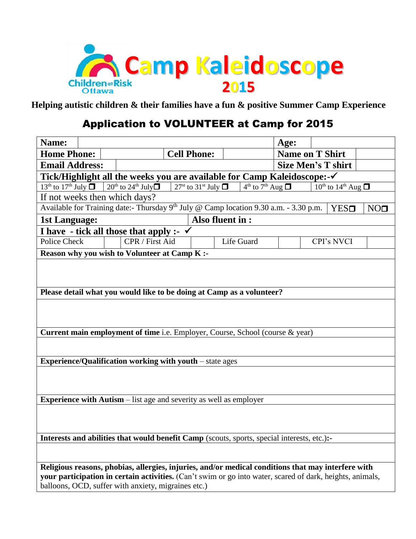

**Helping autistic children & their families have a fun & positive Summer Camp Experience**

## Application to VOLUNTEER at Camp for 2015

| Name:                                                                                                                              |                                                                                                           |                                                                               | Age:                   |                                   |  |  |  |
|------------------------------------------------------------------------------------------------------------------------------------|-----------------------------------------------------------------------------------------------------------|-------------------------------------------------------------------------------|------------------------|-----------------------------------|--|--|--|
| <b>Home Phone:</b>                                                                                                                 | <b>Cell Phone:</b>                                                                                        |                                                                               | <b>Name on T Shirt</b> |                                   |  |  |  |
| <b>Email Address:</b>                                                                                                              | <b>Size Men's T shirt</b>                                                                                 |                                                                               |                        |                                   |  |  |  |
| Tick/Highlight all the weeks you are available for Camp Kaleidoscope:-√                                                            |                                                                                                           |                                                                               |                        |                                   |  |  |  |
| $13th$ to $17th$ July $\Box$                                                                                                       | $20^{th}$ to $24^{th}$ July $\Box$                                                                        | 27 <sup>st</sup> to 31 <sup>st</sup> July $\Box$<br>$4th$ to $7th$ Aug $\Box$ |                        | $10^{th}$ to $14^{th}$ Aug $\Box$ |  |  |  |
| If not weeks then which days?                                                                                                      |                                                                                                           |                                                                               |                        |                                   |  |  |  |
| Available for Training date:- Thursday 9 <sup>th</sup> July @ Camp location 9.30 a.m. - 3.30 p.m.<br>NO <sub>1</sub><br><b>YES</b> |                                                                                                           |                                                                               |                        |                                   |  |  |  |
| <b>1st Language:</b>                                                                                                               |                                                                                                           | Also fluent in :                                                              |                        |                                   |  |  |  |
| I have - tick all those that apply :- $\checkmark$                                                                                 |                                                                                                           |                                                                               |                        |                                   |  |  |  |
| <b>Police Check</b>                                                                                                                | CPR / First Aid                                                                                           | Life Guard                                                                    |                        | <b>CPI's NVCI</b>                 |  |  |  |
|                                                                                                                                    | <b>Reason why you wish to Volunteer at Camp K:-</b>                                                       |                                                                               |                        |                                   |  |  |  |
|                                                                                                                                    |                                                                                                           |                                                                               |                        |                                   |  |  |  |
|                                                                                                                                    |                                                                                                           |                                                                               |                        |                                   |  |  |  |
|                                                                                                                                    |                                                                                                           |                                                                               |                        |                                   |  |  |  |
|                                                                                                                                    | Please detail what you would like to be doing at Camp as a volunteer?                                     |                                                                               |                        |                                   |  |  |  |
|                                                                                                                                    |                                                                                                           |                                                                               |                        |                                   |  |  |  |
|                                                                                                                                    |                                                                                                           |                                                                               |                        |                                   |  |  |  |
|                                                                                                                                    | Current main employment of time i.e. Employer, Course, School (course & year)                             |                                                                               |                        |                                   |  |  |  |
|                                                                                                                                    |                                                                                                           |                                                                               |                        |                                   |  |  |  |
|                                                                                                                                    |                                                                                                           |                                                                               |                        |                                   |  |  |  |
|                                                                                                                                    | <b>Experience/Qualification working with youth – state ages</b>                                           |                                                                               |                        |                                   |  |  |  |
|                                                                                                                                    |                                                                                                           |                                                                               |                        |                                   |  |  |  |
|                                                                                                                                    |                                                                                                           |                                                                               |                        |                                   |  |  |  |
|                                                                                                                                    |                                                                                                           |                                                                               |                        |                                   |  |  |  |
| <b>Experience with Autism</b> – list age and severity as well as employer                                                          |                                                                                                           |                                                                               |                        |                                   |  |  |  |
|                                                                                                                                    |                                                                                                           |                                                                               |                        |                                   |  |  |  |
|                                                                                                                                    |                                                                                                           |                                                                               |                        |                                   |  |  |  |
| Interests and abilities that would benefit Camp (scouts, sports, special interests, etc.):-                                        |                                                                                                           |                                                                               |                        |                                   |  |  |  |
|                                                                                                                                    |                                                                                                           |                                                                               |                        |                                   |  |  |  |
|                                                                                                                                    |                                                                                                           |                                                                               |                        |                                   |  |  |  |
| Religious reasons, phobias, allergies, injuries, and/or medical conditions that may interfere with                                 |                                                                                                           |                                                                               |                        |                                   |  |  |  |
|                                                                                                                                    | your participation in certain activities. (Can't swim or go into water, scared of dark, heights, animals, |                                                                               |                        |                                   |  |  |  |
| balloons, OCD, suffer with anxiety, migraines etc.)                                                                                |                                                                                                           |                                                                               |                        |                                   |  |  |  |